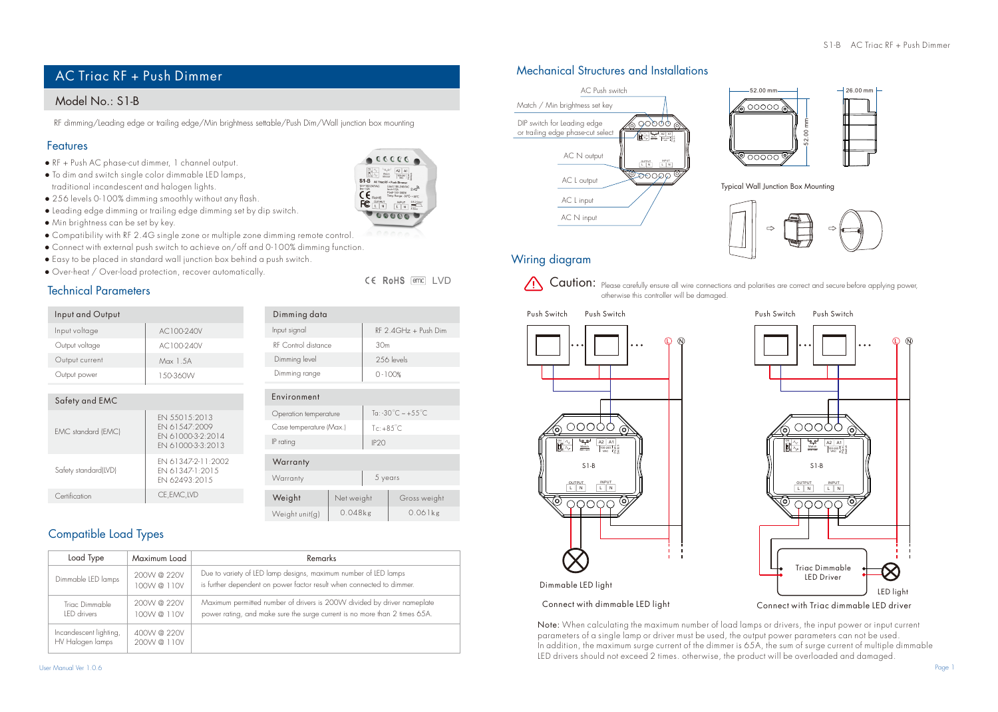# Model No.: S1-B

RF dimming/Leading edge or trailing edge/Min brightness settable/Push Dim/Wall junction box mounting

# Features

- RF + Push AC phase-cut dimmer, 1 channel output.
- To dim and switch single color dimmable LED lamps, traditional incandescent and halogen lights.
- 256 levels 0-100% dimming smoothly without any flash.
- Leading edge dimming or trailing edge dimming set by dip switch.
- Min brightness can be set by key.
- Compatibility with RF 2.4G single zone or multiple zone dimming remote control.
- Connect with external push switch to achieve on/off and 0-100% dimming function.
- Easy to be placed in standard wall junction box behind a push switch.
- Over-heat / Over-load protection, recover automatically.

# Technical Parameters

| Input and Output |            | Dimming data        |
|------------------|------------|---------------------|
| Input voltage    | AC100-240V | Input signal        |
| Output voltage   | AC100-240V | RF Control distance |
| Output current   | Max 1.5A   | Dimming level       |
| Output power     | 1.50-360W  | Dimming range       |

| Safety and EMC       |                                                                           |  |  |  |
|----------------------|---------------------------------------------------------------------------|--|--|--|
| EMC standard (EMC)   | EN 55015:2013<br>EN 61.547-2009<br>ENL61000-3-2:2014<br>ENL61000-3-3:2013 |  |  |  |
| Safety standard(LVD) | EN 61347-2-11-2002<br>EN 61347-1-2015<br>EN 62493-2015                    |  |  |  |
| Certification        | CE.EMC.LVD                                                                |  |  |  |

| <b>Compatible Load Types</b> |  |
|------------------------------|--|

| Load Type                                  | Maximum Load             | Remarks                                                                                                                                               |
|--------------------------------------------|--------------------------|-------------------------------------------------------------------------------------------------------------------------------------------------------|
| Dimmable LED lamps                         | 200W @ 220V<br>100W@110V | Due to variety of LED lamp designs, maximum number of LED lamps<br>is further dependent on power factor result when connected to dimmer.              |
| Triac Dimmable<br>IFD drivers              | 200W@220V<br>100W@110V   | Maximum permitted number of drivers is 200W divided by driver nameplate<br>power rating, and make sure the surge current is no more than 2 times 65A. |
| Incandescent lighting,<br>HV Halogen lamps | 400W @ 220V<br>200W@110V |                                                                                                                                                       |

Operation temperature Case temperature (Max.)

IP rating P20

Warranty 5 years

0.048kg

Weight unit(g) 0.048kg 0.061kg

RF 2.4GHz + Push Dim 30m 256 levels 0 -100%

CE RoHS [emc] LVD

Ta: -30°C ~ +55°C  $Tc: +85^{\circ}C$ 

Net weight Gross weight

Environment

**Warranty** 

**Weight** 

# Mechanical Structures and Installations AC Triac RF + Push Dimmer AC Triac RF + Push Dimmer





Typical Wall Junction Box Mounting



# Wiring diagram



Caution: Please carefully ensure all wire connections and polarities are correct and secure before applying power, otherwise this controller will be damaged.







# Dimmable LED light

Connect with dimmable LED light Connect with Triac dimmable LED driver

Note: When calculating the maximum number of load lamps or drivers, the input power or input current parameters of a single lamp or driver must be used, the output power parameters can not be used. In addition, the maximum surge current of the dimmer is 65A, the sum of surge current of multiple dimmable LED drivers should not exceed 2 times. otherwise, the product will be overloaded and damaged.